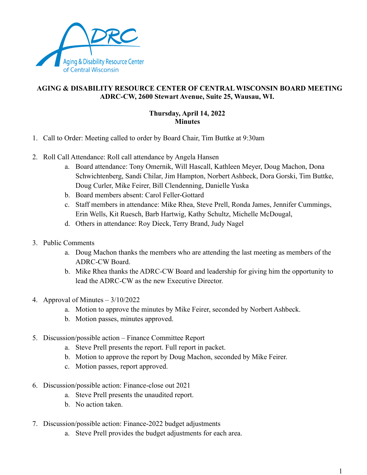

## **AGING & DISABILITY RESOURCE CENTER OF CENTRAL WISCONSIN BOARD MEETING ADRC-CW, 2600 Stewart Avenue, Suite 25, Wausau, WI.**

## **Thursday, April 14, 2022 Minutes**

- 1. Call to Order: Meeting called to order by Board Chair, Tim Buttke at 9:30am
- 2. Roll Call Attendance: Roll call attendance by Angela Hansen
	- a. Board attendance: Tony Omernik, Will Hascall, Kathleen Meyer, Doug Machon, Dona Schwichtenberg, Sandi Chilar, Jim Hampton, Norbert Ashbeck, Dora Gorski, Tim Buttke, Doug Curler, Mike Feirer, Bill Clendenning, Danielle Yuska
	- b. Board members absent: Carol Feller-Gottard
	- c. Staff members in attendance: Mike Rhea, Steve Prell, Ronda James, Jennifer Cummings, Erin Wells, Kit Ruesch, Barb Hartwig, Kathy Schultz, Michelle McDougal,
	- d. Others in attendance: Roy Dieck, Terry Brand, Judy Nagel
- 3. Public Comments
	- a. Doug Machon thanks the members who are attending the last meeting as members of the ADRC-CW Board.
	- b. Mike Rhea thanks the ADRC-CW Board and leadership for giving him the opportunity to lead the ADRC-CW as the new Executive Director.
- 4. Approval of Minutes 3/10/2022
	- a. Motion to approve the minutes by Mike Feirer, seconded by Norbert Ashbeck.
	- b. Motion passes, minutes approved.
- 5. Discussion/possible action Finance Committee Report
	- a. Steve Prell presents the report. Full report in packet.
	- b. Motion to approve the report by Doug Machon, seconded by Mike Feirer.
	- c. Motion passes, report approved.
- 6. Discussion/possible action: Finance-close out 2021
	- a. Steve Prell presents the unaudited report.
	- b. No action taken.
- 7. Discussion/possible action: Finance-2022 budget adjustments
	- a. Steve Prell provides the budget adjustments for each area.